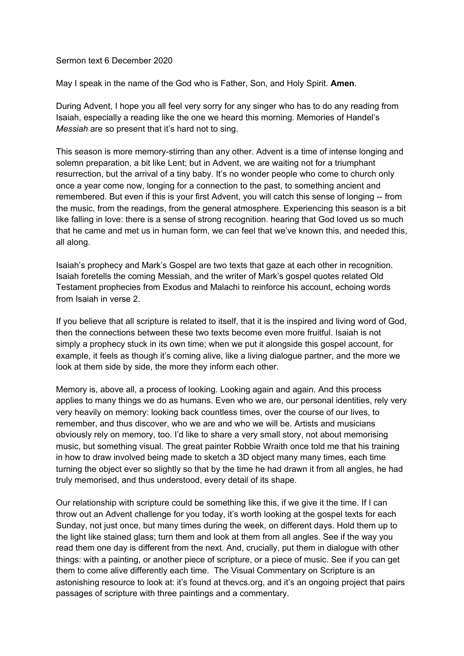## Sermon text 6 December 2020

May I speak in the name of the God who is Father, Son, and Holy Spirit. **Amen**.

During Advent, I hope you all feel very sorry for any singer who has to do any reading from Isaiah, especially a reading like the one we heard this morning. Memories of Handel's *Messiah* are so present that it's hard not to sing.

This season is more memory-stirring than any other. Advent is a time of intense longing and solemn preparation, a bit like Lent; but in Advent, we are waiting not for a triumphant resurrection, but the arrival of a tiny baby. It's no wonder people who come to church only once a year come now, longing for a connection to the past, to something ancient and remembered. But even if this is your first Advent, you will catch this sense of longing -- from the music, from the readings, from the general atmosphere. Experiencing this season is a bit like falling in love: there is a sense of strong recognition. hearing that God loved us so much that he came and met us in human form, we can feel that we've known this, and needed this, all along.

Isaiah's prophecy and Mark's Gospel are two texts that gaze at each other in recognition. Isaiah foretells the coming Messiah, and the writer of Mark's gospel quotes related Old Testament prophecies from Exodus and Malachi to reinforce his account, echoing words from Isaiah in verse 2.

If you believe that all scripture is related to itself, that it is the inspired and living word of God, then the connections between these two texts become even more fruitful. Isaiah is not simply a prophecy stuck in its own time; when we put it alongside this gospel account, for example, it feels as though it's coming alive, like a living dialogue partner, and the more we look at them side by side, the more they inform each other.

Memory is, above all, a process of looking. Looking again and again. And this process applies to many things we do as humans. Even who we are, our personal identities, rely very very heavily on memory: looking back countless times, over the course of our lives, to remember, and thus discover, who we are and who we will be. Artists and musicians obviously rely on memory, too. I'd like to share a very small story, not about memorising music, but something visual. The great painter Robbie Wraith once told me that his training in how to draw involved being made to sketch a 3D object many many times, each time turning the object ever so slightly so that by the time he had drawn it from all angles, he had truly memorised, and thus understood, every detail of its shape.

Our relationship with scripture could be something like this, if we give it the time. If I can throw out an Advent challenge for you today, it's worth looking at the gospel texts for each Sunday, not just once, but many times during the week, on different days. Hold them up to the light like stained glass; turn them and look at them from all angles. See if the way you read them one day is different from the next. And, crucially, put them in dialogue with other things: with a painting, or another piece of scripture, or a piece of music. See if you can get them to come alive differently each time. The Visual Commentary on Scripture is an astonishing resource to look at: it's found at thevcs.org, and it's an ongoing project that pairs passages of scripture with three paintings and a commentary.